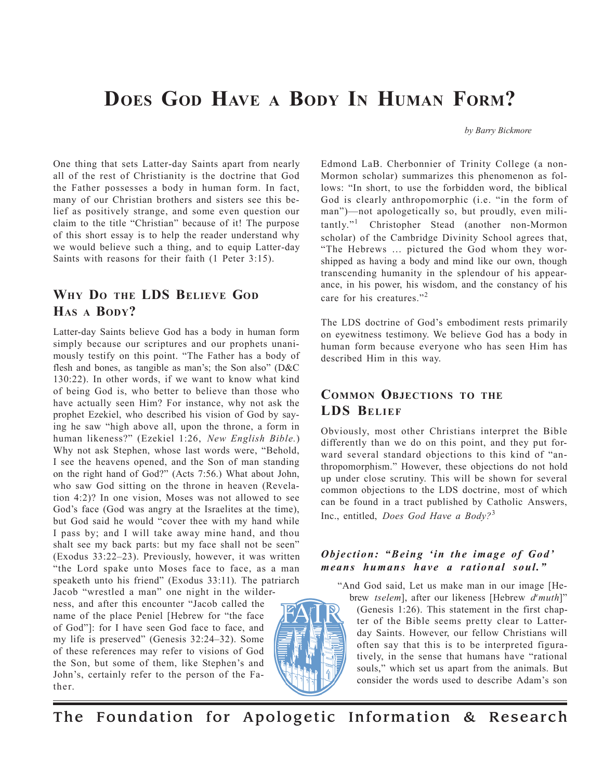# **DOES GOD HAVE A BODY IN HUMAN FORM?**

*by Barry Bickmore*

One thing that sets Latter-day Saints apart from nearly all of the rest of Christianity is the doctrine that God the Father possesses a body in human form. In fact, many of our Christian brothers and sisters see this belief as positively strange, and some even question our claim to the title "Christian" because of it! The purpose of this short essay is to help the reader understand why we would believe such a thing, and to equip Latter-day Saints with reasons for their faith (1 Peter 3:15).

# **WHY DO THE LDS BELIEVE GOD HAS A BODY?**

Latter-day Saints believe God has a body in human form simply because our scriptures and our prophets unanimously testify on this point. "The Father has a body of flesh and bones, as tangible as man's; the Son also" (D&C 130:22). In other words, if we want to know what kind of being God is, who better to believe than those who have actually seen Him? For instance, why not ask the prophet Ezekiel, who described his vision of God by saying he saw "high above all, upon the throne, a form in human likeness?" (Ezekiel 1:26, *New English Bible.*) Why not ask Stephen, whose last words were, "Behold, I see the heavens opened, and the Son of man standing on the right hand of God?" (Acts 7:56.) What about John, who saw God sitting on the throne in heaven (Revelation 4:2)? In one vision, Moses was not allowed to see God's face (God was angry at the Israelites at the time), but God said he would "cover thee with my hand while I pass by; and I will take away mine hand, and thou shalt see my back parts: but my face shall not be seen" (Exodus 33:22–23). Previously, however, it was written "the Lord spake unto Moses face to face, as a man speaketh unto his friend" (Exodus 33:11). The patriarch Jacob "wrestled a man" one night in the wilder-

ness, and after this encounter "Jacob called the name of the place Peniel [Hebrew for "the face of God"]: for I have seen God face to face, and my life is preserved" (Genesis 32:24–32). Some of these references may refer to visions of God the Son, but some of them, like Stephen's and John's, certainly refer to the person of the Father.



Edmond LaB. Cherbonnier of Trinity College (a non-Mormon scholar) summarizes this phenomenon as follows: "In short, to use the forbidden word, the biblical God is clearly anthropomorphic (i.e. "in the form of man")—not apologetically so, but proudly, even militantly."1 Christopher Stead (another non-Mormon scholar) of the Cambridge Divinity School agrees that, "The Hebrews … pictured the God whom they worshipped as having a body and mind like our own, though transcending humanity in the splendour of his appearance, in his power, his wisdom, and the constancy of his care for his creatures."<sup>2</sup>

The LDS doctrine of God's embodiment rests primarily on eyewitness testimony. We believe God has a body in human form because everyone who has seen Him has described Him in this way.

# **COMMON OBJECTIONS TO THE LDS BELIEF**

Obviously, most other Christians interpret the Bible differently than we do on this point, and they put forward several standard objections to this kind of "anthropomorphism." However, these objections do not hold up under close scrutiny. This will be shown for several common objections to the LDS doctrine, most of which can be found in a tract published by Catholic Answers, Inc., entitled, *Does God Have a Body?*<sup>3</sup>

#### *Objection: "Being 'in the image of God' means humans have a rational soul."*

"And God said, Let us make man in our image [He-

brew *tselem*], after our likeness [Hebrew *de muth*]" (Genesis 1:26). This statement in the first chapter of the Bible seems pretty clear to Latterday Saints. However, our fellow Christians will often say that this is to be interpreted figuratively, in the sense that humans have "rational souls," which set us apart from the animals. But consider the words used to describe Adam's son

The Foundation for Apologetic Information & Research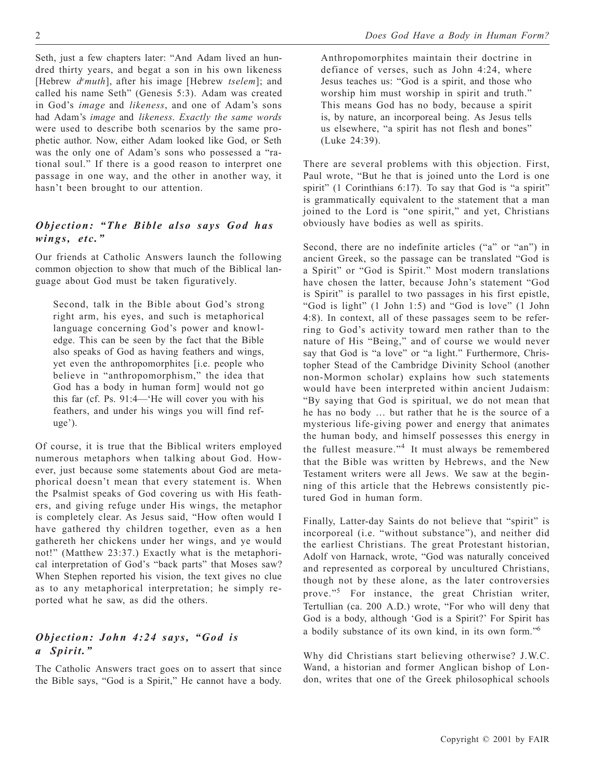Seth, just a few chapters later: "And Adam lived an hundred thirty years, and begat a son in his own likeness [Hebrew *de muth*], after his image [Hebrew *tselem*]; and called his name Seth" (Genesis 5:3). Adam was created in God's *image* and *likeness*, and one of Adam's sons had Adam's *image* and *likeness*. *Exactly the same words* were used to describe both scenarios by the same prophetic author. Now, either Adam looked like God, or Seth was the only one of Adam's sons who possessed a "rational soul." If there is a good reason to interpret one passage in one way, and the other in another way, it hasn't been brought to our attention.

#### *Objection: "The Bible also says God has wings, etc."*

Our friends at Catholic Answers launch the following common objection to show that much of the Biblical language about God must be taken figuratively.

Second, talk in the Bible about God's strong right arm, his eyes, and such is metaphorical language concerning God's power and knowledge. This can be seen by the fact that the Bible also speaks of God as having feathers and wings, yet even the anthropomorphites [i.e. people who believe in "anthropomorphism," the idea that God has a body in human form] would not go this far (cf. Ps. 91:4—'He will cover you with his feathers, and under his wings you will find refuge').

Of course, it is true that the Biblical writers employed numerous metaphors when talking about God. However, just because some statements about God are metaphorical doesn't mean that every statement is. When the Psalmist speaks of God covering us with His feathers, and giving refuge under His wings, the metaphor is completely clear. As Jesus said, "How often would I have gathered thy children together, even as a hen gathereth her chickens under her wings, and ye would not!" (Matthew 23:37.) Exactly what is the metaphorical interpretation of God's "back parts" that Moses saw? When Stephen reported his vision, the text gives no clue as to any metaphorical interpretation; he simply reported what he saw, as did the others.

#### *Objection: John 4:24 says, "God is a Spirit."*

The Catholic Answers tract goes on to assert that since the Bible says, "God is a Spirit," He cannot have a body.

Anthropomorphites maintain their doctrine in defiance of verses, such as John 4:24, where Jesus teaches us: "God is a spirit, and those who worship him must worship in spirit and truth." This means God has no body, because a spirit is, by nature, an incorporeal being. As Jesus tells us elsewhere, "a spirit has not flesh and bones" (Luke 24:39).

There are several problems with this objection. First, Paul wrote, "But he that is joined unto the Lord is one spirit" (1 Corinthians 6:17). To say that God is "a spirit" is grammatically equivalent to the statement that a man joined to the Lord is "one spirit," and yet, Christians obviously have bodies as well as spirits.

Second, there are no indefinite articles ("a" or "an") in ancient Greek, so the passage can be translated "God is a Spirit" or "God is Spirit." Most modern translations have chosen the latter, because John's statement "God is Spirit" is parallel to two passages in his first epistle, "God is light" (1 John 1:5) and "God is love" (1 John 4:8). In context, all of these passages seem to be referring to God's activity toward men rather than to the nature of His "Being," and of course we would never say that God is "a love" or "a light." Furthermore, Christopher Stead of the Cambridge Divinity School (another non-Mormon scholar) explains how such statements would have been interpreted within ancient Judaism: "By saying that God is spiritual, we do not mean that he has no body … but rather that he is the source of a mysterious life-giving power and energy that animates the human body, and himself possesses this energy in the fullest measure."4 It must always be remembered that the Bible was written by Hebrews, and the New Testament writers were all Jews. We saw at the beginning of this article that the Hebrews consistently pictured God in human form.

Finally, Latter-day Saints do not believe that "spirit" is incorporeal (i.e. "without substance"), and neither did the earliest Christians. The great Protestant historian, Adolf von Harnack, wrote, "God was naturally conceived and represented as corporeal by uncultured Christians, though not by these alone, as the later controversies prove."<sup>5</sup> For instance, the great Christian writer, Tertullian (ca. 200 A.D.) wrote, "For who will deny that God is a body, although 'God is a Spirit?' For Spirit has a bodily substance of its own kind, in its own form."<sup>6</sup>

Why did Christians start believing otherwise? J.W.C. Wand, a historian and former Anglican bishop of London, writes that one of the Greek philosophical schools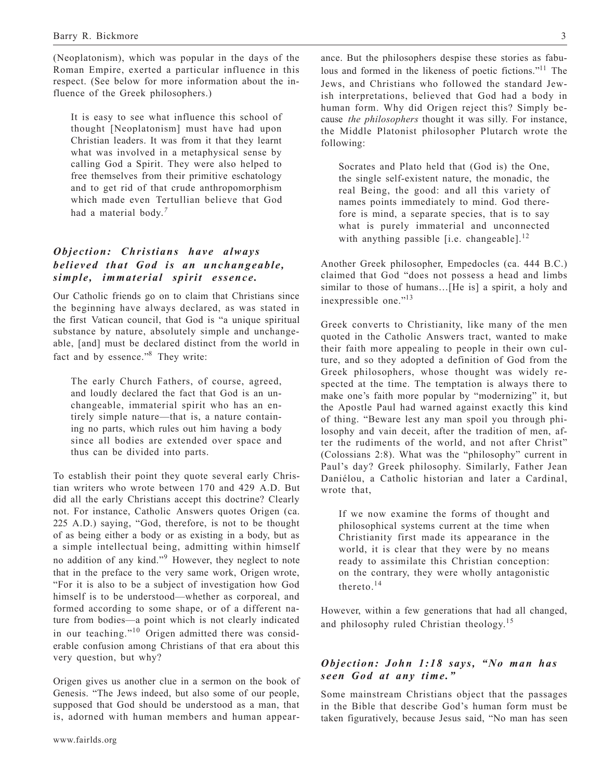(Neoplatonism), which was popular in the days of the Roman Empire, exerted a particular influence in this respect. (See below for more information about the influence of the Greek philosophers.)

It is easy to see what influence this school of thought [Neoplatonism] must have had upon Christian leaders. It was from it that they learnt what was involved in a metaphysical sense by calling God a Spirit. They were also helped to free themselves from their primitive eschatology and to get rid of that crude anthropomorphism which made even Tertullian believe that God had a material body.*<sup>7</sup>*

## *Objection: Christians have always believed that God is an unchangeable, simple, immaterial spirit essence.*

Our Catholic friends go on to claim that Christians since the beginning have always declared, as was stated in the first Vatican council, that God is "a unique spiritual substance by nature, absolutely simple and unchangeable, [and] must be declared distinct from the world in fact and by essence."8 They write:

The early Church Fathers, of course, agreed, and loudly declared the fact that God is an unchangeable, immaterial spirit who has an entirely simple nature—that is, a nature containing no parts, which rules out him having a body since all bodies are extended over space and thus can be divided into parts.

To establish their point they quote several early Christian writers who wrote between 170 and 429 A.D. But did all the early Christians accept this doctrine? Clearly not. For instance, Catholic Answers quotes Origen (ca. 225 A.D.) saying, "God, therefore, is not to be thought of as being either a body or as existing in a body, but as a simple intellectual being, admitting within himself no addition of any kind."9 However, they neglect to note that in the preface to the very same work, Origen wrote, "For it is also to be a subject of investigation how God himself is to be understood—whether as corporeal, and formed according to some shape, or of a different nature from bodies—a point which is not clearly indicated in our teaching."<sup>10</sup> Origen admitted there was considerable confusion among Christians of that era about this very question, but why?

Origen gives us another clue in a sermon on the book of Genesis. "The Jews indeed, but also some of our people, supposed that God should be understood as a man, that is, adorned with human members and human appearance. But the philosophers despise these stories as fabulous and formed in the likeness of poetic fictions."11 The Jews, and Christians who followed the standard Jewish interpretations, believed that God had a body in human form. Why did Origen reject this? Simply because *the philosophers* thought it was silly. For instance, the Middle Platonist philosopher Plutarch wrote the following:

Socrates and Plato held that (God is) the One, the single self-existent nature, the monadic, the real Being, the good: and all this variety of names points immediately to mind. God therefore is mind, a separate species, that is to say what is purely immaterial and unconnected with anything passible [i.e. changeable].<sup>12</sup>

Another Greek philosopher, Empedocles (ca. 444 B.C.) claimed that God "does not possess a head and limbs similar to those of humans…[He is] a spirit, a holy and inexpressible one."<sup>13</sup>

Greek converts to Christianity, like many of the men quoted in the Catholic Answers tract, wanted to make their faith more appealing to people in their own culture, and so they adopted a definition of God from the Greek philosophers, whose thought was widely respected at the time. The temptation is always there to make one's faith more popular by "modernizing" it, but the Apostle Paul had warned against exactly this kind of thing. "Beware lest any man spoil you through philosophy and vain deceit, after the tradition of men, after the rudiments of the world, and not after Christ" (Colossians 2:8). What was the "philosophy" current in Paul's day? Greek philosophy. Similarly, Father Jean Daniélou, a Catholic historian and later a Cardinal, wrote that,

If we now examine the forms of thought and philosophical systems current at the time when Christianity first made its appearance in the world, it is clear that they were by no means ready to assimilate this Christian conception: on the contrary, they were wholly antagonistic thereto.<sup>14</sup>

However, within a few generations that had all changed, and philosophy ruled Christian theology.<sup>15</sup>

#### *Objection: John 1:18 says, "No man has seen God at any time."*

Some mainstream Christians object that the passages in the Bible that describe God's human form must be taken figuratively, because Jesus said, "No man has seen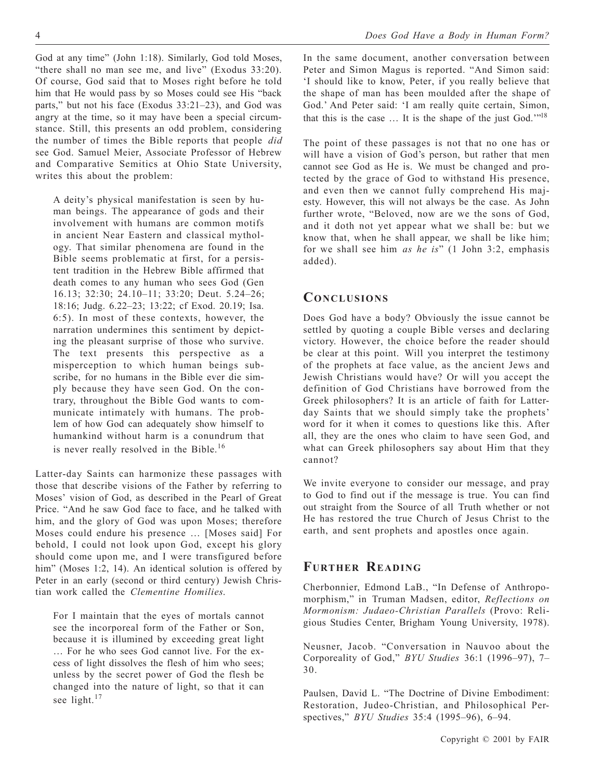God at any time" (John 1:18). Similarly, God told Moses, "there shall no man see me, and live" (Exodus 33:20). Of course, God said that to Moses right before he told him that He would pass by so Moses could see His "back parts," but not his face (Exodus 33:21–23), and God was angry at the time, so it may have been a special circumstance. Still, this presents an odd problem, considering the number of times the Bible reports that people *did* see God. Samuel Meier, Associate Professor of Hebrew and Comparative Semitics at Ohio State University, writes this about the problem:

A deity's physical manifestation is seen by human beings. The appearance of gods and their involvement with humans are common motifs in ancient Near Eastern and classical mythology. That similar phenomena are found in the Bible seems problematic at first, for a persistent tradition in the Hebrew Bible affirmed that death comes to any human who sees God (Gen 16.13; 32:30; 24.10–11; 33:20; Deut. 5.24–26; 18:16; Judg. 6.22–23; 13:22; cf Exod. 20.19; Isa. 6:5). In most of these contexts, however, the narration undermines this sentiment by depicting the pleasant surprise of those who survive. The text presents this perspective as a misperception to which human beings subscribe, for no humans in the Bible ever die simply because they have seen God. On the contrary, throughout the Bible God wants to communicate intimately with humans. The problem of how God can adequately show himself to humankind without harm is a conundrum that is never really resolved in the Bible.<sup>16</sup>

Latter-day Saints can harmonize these passages with those that describe visions of the Father by referring to Moses' vision of God, as described in the Pearl of Great Price. "And he saw God face to face, and he talked with him, and the glory of God was upon Moses; therefore Moses could endure his presence … [Moses said] For behold, I could not look upon God, except his glory should come upon me, and I were transfigured before him" (Moses 1:2, 14). An identical solution is offered by Peter in an early (second or third century) Jewish Christian work called the *Clementine Homilies*.

For I maintain that the eyes of mortals cannot see the incorporeal form of the Father or Son, because it is illumined by exceeding great light … For he who sees God cannot live. For the excess of light dissolves the flesh of him who sees; unless by the secret power of God the flesh be changed into the nature of light, so that it can see light.<sup>17</sup>

In the same document, another conversation between Peter and Simon Magus is reported. "And Simon said: 'I should like to know, Peter, if you really believe that the shape of man has been moulded after the shape of God.' And Peter said: 'I am really quite certain, Simon, that this is the case  $\ldots$  It is the shape of the just God.'"<sup>18</sup>

The point of these passages is not that no one has or will have a vision of God's person, but rather that men cannot see God as He is. We must be changed and protected by the grace of God to withstand His presence, and even then we cannot fully comprehend His majesty. However, this will not always be the case. As John further wrote, "Beloved, now are we the sons of God, and it doth not yet appear what we shall be: but we know that, when he shall appear, we shall be like him; for we shall see him *as he is*" (1 John 3:2, emphasis added).

# **CONCLUSIONS**

Does God have a body? Obviously the issue cannot be settled by quoting a couple Bible verses and declaring victory. However, the choice before the reader should be clear at this point. Will you interpret the testimony of the prophets at face value, as the ancient Jews and Jewish Christians would have? Or will you accept the definition of God Christians have borrowed from the Greek philosophers? It is an article of faith for Latterday Saints that we should simply take the prophets' word for it when it comes to questions like this. After all, they are the ones who claim to have seen God, and what can Greek philosophers say about Him that they cannot?

We invite everyone to consider our message, and pray to God to find out if the message is true. You can find out straight from the Source of all Truth whether or not He has restored the true Church of Jesus Christ to the earth, and sent prophets and apostles once again.

## **FURTHER READING**

Cherbonnier, Edmond LaB., "In Defense of Anthropomorphism," in Truman Madsen, editor, *Reflections on Mormonism: Judaeo-Christian Parallels* (Provo: Religious Studies Center, Brigham Young University, 1978).

Neusner, Jacob. "Conversation in Nauvoo about the Corporeality of God," *BYU Studies* 36:1 (1996–97), 7– 30.

Paulsen, David L. "The Doctrine of Divine Embodiment: Restoration, Judeo-Christian, and Philosophical Perspectives," *BYU Studies* 35:4 (1995–96), 6–94.